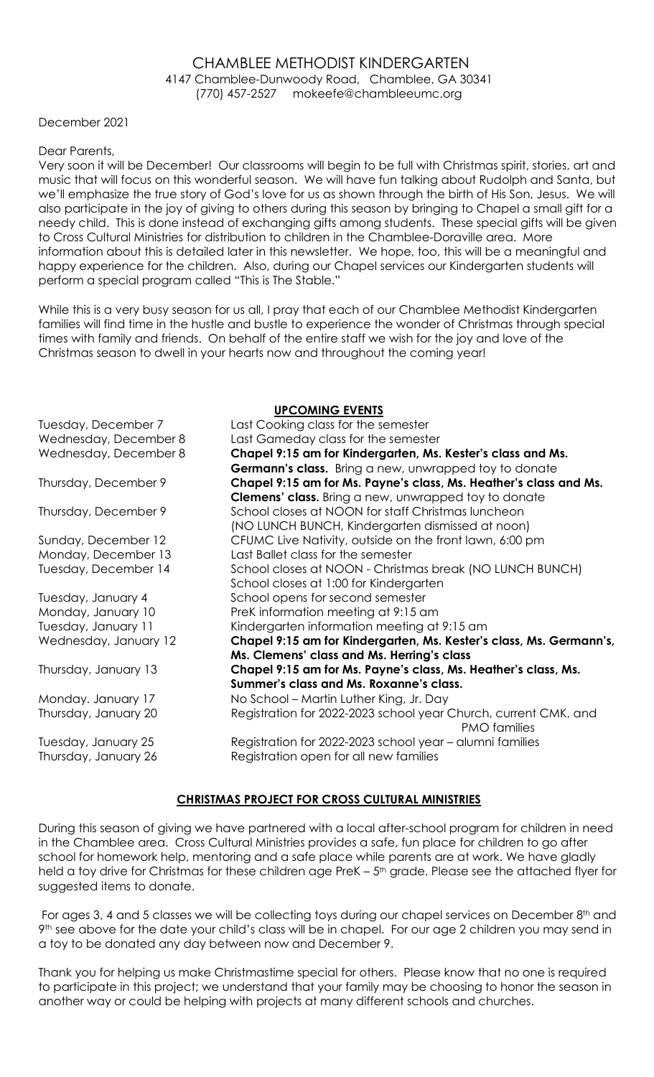### CHAMBLEE METHODIST KINDERGARTEN 4147 Chamblee-Dunwoody Road, Chamblee, GA 30341 (770) 457-2527 mokeefe@chambleeumc.org

December 2021

#### Dear Parents,

Very soon it will be December! Our classrooms will begin to be full with Christmas spirit, stories, art and music that will focus on this wonderful season. We will have fun talking about Rudolph and Santa, but we'll emphasize the true story of God's love for us as shown through the birth of His Son, Jesus. We will also participate in the joy of giving to others during this season by bringing to Chapel a small gift for a needy child. This is done instead of exchanging gifts among students. These special gifts will be given to Cross Cultural Ministries for distribution to children in the Chamblee-Doraville area. More information about this is detailed later in this newsletter. We hope, too, this will be a meaningful and happy experience for the children. Also, during our Chapel services our Kindergarten students will perform a special program called "This is The Stable."

While this is a very busy season for us all, I pray that each of our Chamblee Methodist Kindergarten families will find time in the hustle and bustle to experience the wonder of Christmas through special times with family and friends. On behalf of the entire staff we wish for the joy and love of the Christmas season to dwell in your hearts now and throughout the coming year!

### UPCOMING EVENTS

|                       | <u>UL COMINU EXERIS</u>                                             |
|-----------------------|---------------------------------------------------------------------|
| Tuesday, December 7   | Last Cooking class for the semester                                 |
| Wednesday, December 8 | Last Gameday class for the semester                                 |
| Wednesday, December 8 | Chapel 9:15 am for Kindergarten, Ms. Kester's class and Ms.         |
|                       | Germann's class. Bring a new, unwrapped toy to donate               |
| Thursday, December 9  | Chapel 9:15 am for Ms. Payne's class, Ms. Heather's class and Ms.   |
|                       | <b>Clemens' class.</b> Bring a new, unwrapped toy to donate         |
| Thursday, December 9  | School closes at NOON for staff Christmas luncheon                  |
|                       | (NO LUNCH BUNCH, Kindergarten dismissed at noon)                    |
| Sunday, December 12   | CFUMC Live Nativity, outside on the front lawn, 6:00 pm             |
| Monday, December 13   | Last Ballet class for the semester                                  |
| Tuesday, December 14  | School closes at NOON - Christmas break (NO LUNCH BUNCH)            |
|                       | School closes at 1:00 for Kindergarten                              |
| Tuesday, January 4    | School opens for second semester                                    |
| Monday, January 10    | PreK information meeting at 9:15 am                                 |
| Tuesday, January 11   | Kindergarten information meeting at 9:15 am                         |
| Wednesday, January 12 | Chapel 9:15 am for Kindergarten, Ms. Kester's class, Ms. Germann's, |
|                       | Ms. Clemens' class and Ms. Herring's class                          |
| Thursday, January 13  | Chapel 9:15 am for Ms. Payne's class, Ms. Heather's class, Ms.      |
|                       | Summer's class and Ms. Roxanne's class.                             |
| Monday. January 17    | No School – Martin Luther King, Jr. Day                             |
| Thursday, January 20  | Registration for 2022-2023 school year Church, current CMK, and     |
|                       | <b>PMO</b> families                                                 |
| Tuesday, January 25   | Registration for 2022-2023 school year - alumni families            |
| Thursday, January 26  | Registration open for all new families                              |

### CHRISTMAS PROJECT FOR CROSS CULTURAL MINISTRIES

During this season of giving we have partnered with a local after-school program for children in need in the Chamblee area. Cross Cultural Ministries provides a safe, fun place for children to go after school for homework help, mentoring and a safe place while parents are at work. We have gladly held a toy drive for Christmas for these children age PreK - 5<sup>th</sup> grade. Please see the attached flyer for suggested items to donate.

For ages 3, 4 and 5 classes we will be collecting toys during our chapel services on December 8<sup>th</sup> and 9th see above for the date your child's class will be in chapel. For our age 2 children you may send in a toy to be donated any day between now and December 9.

Thank you for helping us make Christmastime special for others. Please know that no one is required to participate in this project; we understand that your family may be choosing to honor the season in another way or could be helping with projects at many different schools and churches.